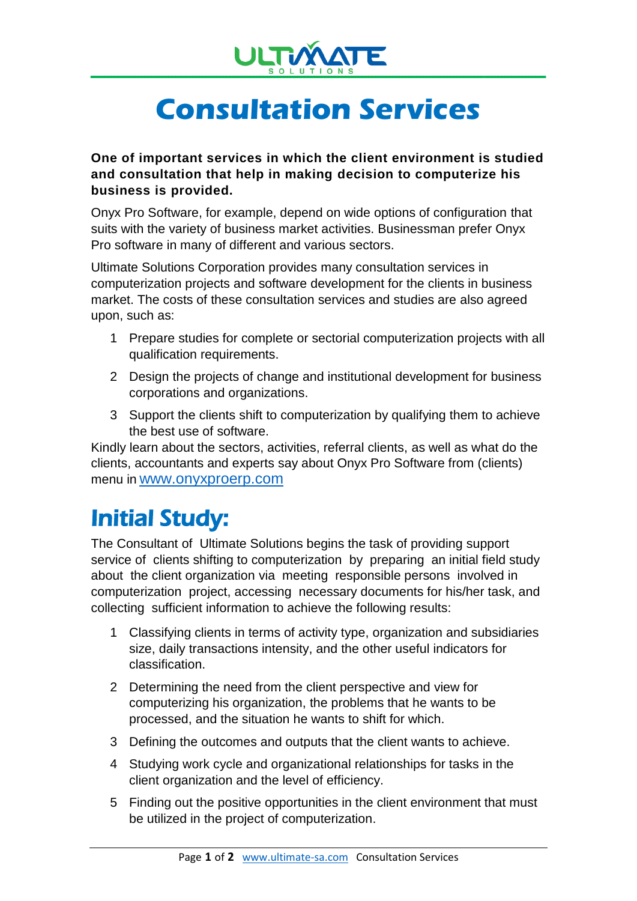

## **Consultation Services**

**One of important services in which the client environment is studied and consultation that help in making decision to computerize his business is provided.**

Onyx Pro Software, for example, depend on wide options of configuration that suits with the variety of business market activities. Businessman prefer Onyx Pro software in many of different and various sectors.

Ultimate Solutions Corporation provides many consultation services in computerization projects and software development for the clients in business market. The costs of these consultation services and studies are also agreed upon, such as:

- 1 Prepare studies for complete or sectorial computerization projects with all qualification requirements.
- 2 Design the projects of change and institutional development for business corporations and organizations.
- 3 Support the clients shift to computerization by qualifying them to achieve the best use of software.

Kindly learn about the sectors, activities, referral clients, as well as what do the clients, accountants and experts say about Onyx Pro Software from (clients) menu in www.onyxproerp.com

## Initial Study:

The Consultant of Ultimate Solutions begins the task of providing support service of clients shifting to computerization by preparing an initial field study about the client organization via meeting responsible persons involved in computerization project, accessing necessary documents for his/her task, and collecting sufficient information to achieve the following results:

- 1 Classifying clients in terms of activity type, organization and subsidiaries size, daily transactions intensity, and the other useful indicators for classification.
- 2 Determining the need from the client perspective and view for computerizing his organization, the problems that he wants to be processed, and the situation he wants to shift for which.
- 3 Defining the outcomes and outputs that the client wants to achieve.
- 4 Studying work cycle and organizational relationships for tasks in the client organization and the level of efficiency.
- 5 Finding out the positive opportunities in the client environment that must be utilized in the project of computerization.